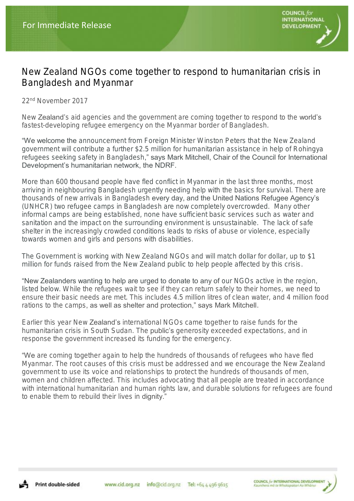## New Zealand NGOs come together to respond to humanitarian crisis in Bangladesh and Myanmar

22nd November 2017

New **Zealand**'s aid agencies and the government are coming together to respond to the world's fastest-developing refugee emergency on the Myanmar border of Bangladesh.

"We welcome the announcement from Foreign Minister Winston Peters that the New Zealand government will contribute a further \$2.5 million for humanitarian assistance in help of Rohingya refugees seeking safety in Bangladesh," says Mark Mitchell, Chair of the Council for International Development's humanitarian network, the NDRF.

More than 600 thousand people have fled conflict in Myanmar in the last three months, most arriving in neighbouring Bangladesh urgently needing help with the basics for survival. There are thousands of new arrivals in Bangladesh every day, and the United Nations Refugee Agency's (UNHCR) two refugee camps in Bangladesh are now completely overcrowded. Many other informal camps are being established, none have sufficient basic services such as water and sanitation and the impact on the surrounding environment is unsustainable. The lack of safe shelter in the increasingly crowded conditions leads to risks of abuse or violence, especially towards women and girls and persons with disabilities.

The Government is working with New Zealand NGOs and will match dollar for dollar, up to \$1 million for funds raised from the New Zealand public to help people affected by this crisis.

"New Zealanders wanting to help are urged to donate to any of our NGOs active in the region, listed below. While the refugees wait to see if they can return safely to their homes, we need to ensure their basic needs are met. This includes 4.5 million litres of clean water, and 4 million food rations to the camps, as well as shelter and protection," says Mark Mitchell.

Earlier this year New Zealand's international NGOs came together to raise funds for the humanitarian crisis in South Sudan. The **public's** generosity exceeded expectations, and in response the government increased its funding for the emergency.

"We are coming together again to help the hundreds of thousands of refugees who have fled Myanmar. The root causes of this crisis must be addressed and we encourage the New Zealand government to use its voice and relationships to protect the hundreds of thousands of men, women and children affected. This includes advocating that all people are treated in accordance with international humanitarian and human rights law, and durable solutions for refugees are found to enable them to rebuild their lives in dignity."